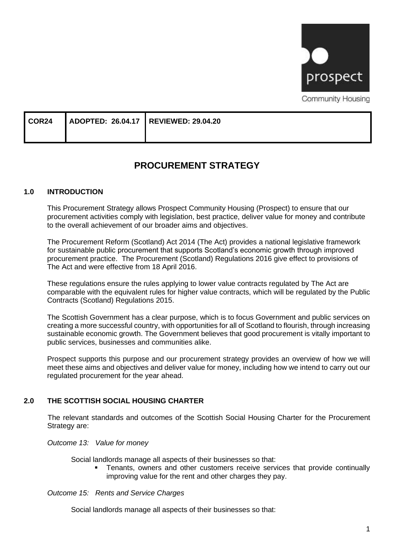

| COR <sub>24</sub> | ADOPTED: 26.04.17   REVIEWED: 29.04.20 |  |
|-------------------|----------------------------------------|--|
|                   |                                        |  |

# **PROCUREMENT STRATEGY**

#### **1.0 INTRODUCTION**

This Procurement Strategy allows Prospect Community Housing (Prospect) to ensure that our procurement activities comply with legislation, best practice, deliver value for money and contribute to the overall achievement of our broader aims and objectives.

The Procurement Reform (Scotland) Act 2014 (The Act) provides a national legislative framework for sustainable public procurement that supports Scotland's economic growth through improved procurement practice. The [Procurement \(Scotland\) Regulations 2016](http://www.legislation.gov.uk/ssi/2016/145/contents/made) give effect to provisions of The Act and were effective from 18 April 2016.

These regulations ensure the rules applying to lower value contracts regulated by The Act are comparable with the equivalent rules for higher value contracts, which will be regulated by the Public Contracts (Scotland) Regulations 2015.

The Scottish Government has a clear purpose, which is to focus Government and public services on creating a more successful country, with opportunities for all of Scotland to flourish, through increasing sustainable economic growth. The Government believes that good procurement is vitally important to public services, businesses and communities alike.

Prospect supports this purpose and our procurement strategy provides an overview of how we will meet these aims and objectives and deliver value for money, including how we intend to carry out our regulated procurement for the year ahead.

#### **2.0 THE SCOTTISH SOCIAL HOUSING CHARTER**

The relevant standards and outcomes of the Scottish Social Housing Charter for the Procurement Strategy are:

#### *Outcome 13: Value for money*

Social landlords manage all aspects of their businesses so that:

Tenants, owners and other customers receive services that provide continually improving value for the rent and other charges they pay.

#### *Outcome 15: Rents and Service Charges*

Social landlords manage all aspects of their businesses so that: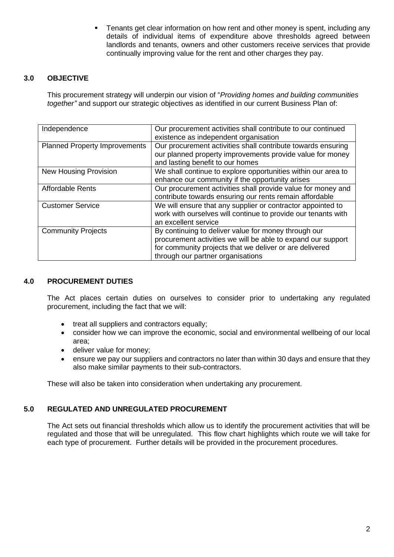Tenants get clear information on how rent and other money is spent, including any details of individual items of expenditure above thresholds agreed between landlords and tenants, owners and other customers receive services that provide continually improving value for the rent and other charges they pay.

### **3.0 OBJECTIVE**

This procurement strategy will underpin our vision of "*Providing homes and building communities together"* and support our strategic objectives as identified in our current Business Plan of:

| Independence                         | Our procurement activities shall contribute to our continued<br>existence as independent organisation                                                                                                                |  |
|--------------------------------------|----------------------------------------------------------------------------------------------------------------------------------------------------------------------------------------------------------------------|--|
| <b>Planned Property Improvements</b> | Our procurement activities shall contribute towards ensuring<br>our planned property improvements provide value for money<br>and lasting benefit to our homes                                                        |  |
| <b>New Housing Provision</b>         | We shall continue to explore opportunities within our area to<br>enhance our community if the opportunity arises                                                                                                     |  |
| <b>Affordable Rents</b>              | Our procurement activities shall provide value for money and<br>contribute towards ensuring our rents remain affordable                                                                                              |  |
| <b>Customer Service</b>              | We will ensure that any supplier or contractor appointed to<br>work with ourselves will continue to provide our tenants with<br>an excellent service                                                                 |  |
| <b>Community Projects</b>            | By continuing to deliver value for money through our<br>procurement activities we will be able to expand our support<br>for community projects that we deliver or are delivered<br>through our partner organisations |  |

### **4.0 PROCUREMENT DUTIES**

The Act places certain duties on ourselves to consider prior to undertaking any regulated procurement, including the fact that we will:

- treat all suppliers and contractors equally;
- consider how we can improve the economic, social and environmental wellbeing of our local area;
- deliver value for money;
- ensure we pay our suppliers and contractors no later than within 30 days and ensure that they also make similar payments to their sub-contractors.

These will also be taken into consideration when undertaking any procurement.

### **5.0 REGULATED AND UNREGULATED PROCUREMENT**

The Act sets out financial thresholds which allow us to identify the procurement activities that will be regulated and those that will be unregulated. This flow chart highlights which route we will take for each type of procurement. Further details will be provided in the procurement procedures.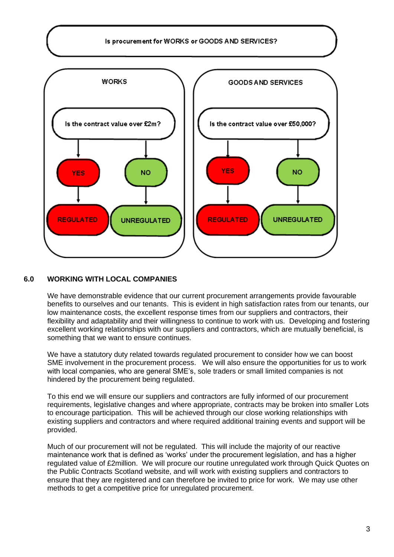

# **6.0 WORKING WITH LOCAL COMPANIES**

We have demonstrable evidence that our current procurement arrangements provide favourable benefits to ourselves and our tenants. This is evident in high satisfaction rates from our tenants, our low maintenance costs, the excellent response times from our suppliers and contractors, their flexibility and adaptability and their willingness to continue to work with us. Developing and fostering excellent working relationships with our suppliers and contractors, which are mutually beneficial, is something that we want to ensure continues.

We have a statutory duty related towards regulated procurement to consider how we can boost SME involvement in the procurement process. We will also ensure the opportunities for us to work with local companies, who are general SME's, sole traders or small limited companies is not hindered by the procurement being regulated.

To this end we will ensure our suppliers and contractors are fully informed of our procurement requirements, legislative changes and where appropriate, contracts may be broken into smaller Lots to encourage participation. This will be achieved through our close working relationships with existing suppliers and contractors and where required additional training events and support will be provided.

Much of our procurement will not be regulated. This will include the majority of our reactive maintenance work that is defined as 'works' under the procurement legislation, and has a higher regulated value of £2million. We will procure our routine unregulated work through Quick Quotes on the Public Contracts Scotland website, and will work with existing suppliers and contractors to ensure that they are registered and can therefore be invited to price for work. We may use other methods to get a competitive price for unregulated procurement.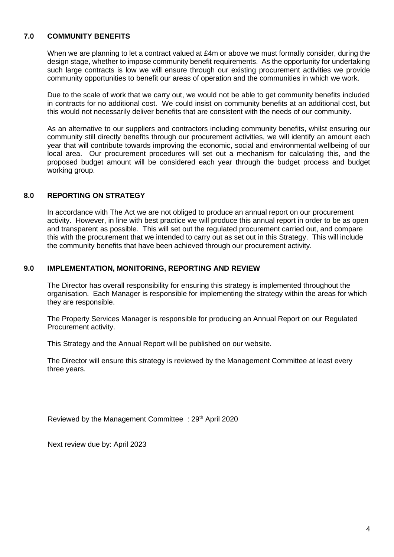### **7.0 COMMUNITY BENEFITS**

When we are planning to let a contract valued at £4m or above we must formally consider, during the design stage, whether to impose community benefit requirements. As the opportunity for undertaking such large contracts is low we will ensure through our existing procurement activities we provide community opportunities to benefit our areas of operation and the communities in which we work.

Due to the scale of work that we carry out, we would not be able to get community benefits included in contracts for no additional cost. We could insist on community benefits at an additional cost, but this would not necessarily deliver benefits that are consistent with the needs of our community.

As an alternative to our suppliers and contractors including community benefits, whilst ensuring our community still directly benefits through our procurement activities, we will identify an amount each year that will contribute towards improving the economic, social and environmental wellbeing of our local area. Our procurement procedures will set out a mechanism for calculating this, and the proposed budget amount will be considered each year through the budget process and budget working group.

### **8.0 REPORTING ON STRATEGY**

In accordance with The Act we are not obliged to produce an annual report on our procurement activity. However, in line with best practice we will produce this annual report in order to be as open and transparent as possible. This will set out the regulated procurement carried out, and compare this with the procurement that we intended to carry out as set out in this Strategy. This will include the community benefits that have been achieved through our procurement activity.

#### **9.0 IMPLEMENTATION, MONITORING, REPORTING AND REVIEW**

The Director has overall responsibility for ensuring this strategy is implemented throughout the organisation. Each Manager is responsible for implementing the strategy within the areas for which they are responsible.

The Property Services Manager is responsible for producing an Annual Report on our Regulated Procurement activity.

This Strategy and the Annual Report will be published on our website.

The Director will ensure this strategy is reviewed by the Management Committee at least every three years.

Reviewed by the Management Committee : 29<sup>th</sup> April 2020

Next review due by: April 2023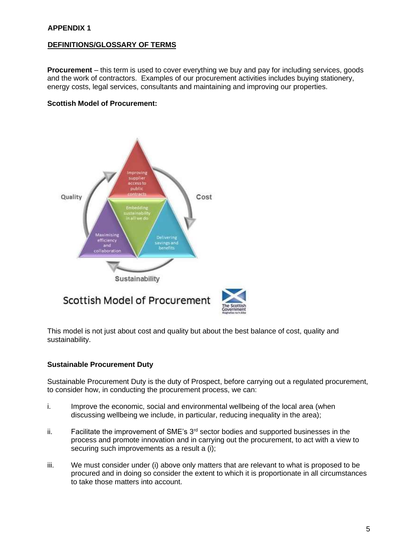### **DEFINITIONS/GLOSSARY OF TERMS**

**Procurement** – this term is used to cover everything we buy and pay for including services, goods and the work of contractors. Examples of our procurement activities includes buying stationery, energy costs, legal services, consultants and maintaining and improving our properties.

#### **Scottish Model of Procurement:**



This model is not just about cost and quality but about the best balance of cost, quality and sustainability.

#### **Sustainable Procurement Duty**

Sustainable Procurement Duty is the duty of Prospect, before carrying out a regulated procurement, to consider how, in conducting the procurement process, we can:

- i. Improve the economic, social and environmental wellbeing of the local area (when discussing wellbeing we include, in particular, reducing inequality in the area);
- ii. Facilitate the improvement of SME's  $3<sup>rd</sup>$  sector bodies and supported businesses in the process and promote innovation and in carrying out the procurement, to act with a view to securing such improvements as a result a (i);
- iii. We must consider under (i) above only matters that are relevant to what is proposed to be procured and in doing so consider the extent to which it is proportionate in all circumstances to take those matters into account.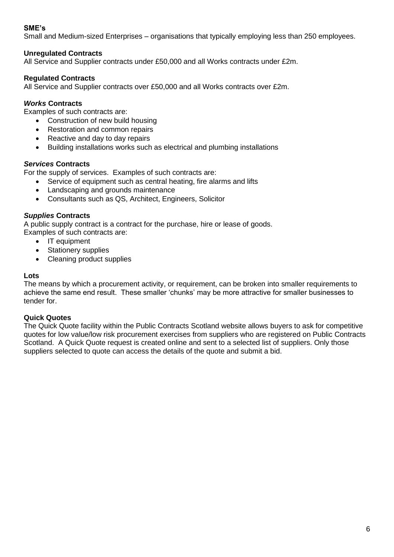# **SME's**

Small and Medium-sized Enterprises – organisations that typically employing less than 250 employees.

# **Unregulated Contracts**

All Service and Supplier contracts under £50,000 and all Works contracts under £2m.

# **Regulated Contracts**

All Service and Supplier contracts over £50,000 and all Works contracts over £2m.

# *Works* **Contracts**

Examples of such contracts are:

- Construction of new build housing
- Restoration and common repairs
- Reactive and day to day repairs
- Building installations works such as electrical and plumbing installations

# *Services* **Contracts**

For the supply of services. Examples of such contracts are:

- Service of equipment such as central heating, fire alarms and lifts
	- Landscaping and grounds maintenance
- Consultants such as QS, Architect, Engineers, Solicitor

# *Supplies* **Contracts**

A public supply contract is a contract for the purchase, hire or lease of goods.

Examples of such contracts are:

- IT equipment
- **Stationery supplies**
- Cleaning product supplies

### **Lots**

The means by which a procurement activity, or requirement, can be broken into smaller requirements to achieve the same end result. These smaller 'chunks' may be more attractive for smaller businesses to tender for.

# **Quick Quotes**

The Quick Quote facility within the Public Contracts Scotland website allows buyers to ask for competitive quotes for low value/low risk procurement exercises from suppliers who are registered on Public Contracts Scotland. A Quick Quote request is created online and sent to a selected list of suppliers. Only those suppliers selected to quote can access the details of the quote and submit a bid.